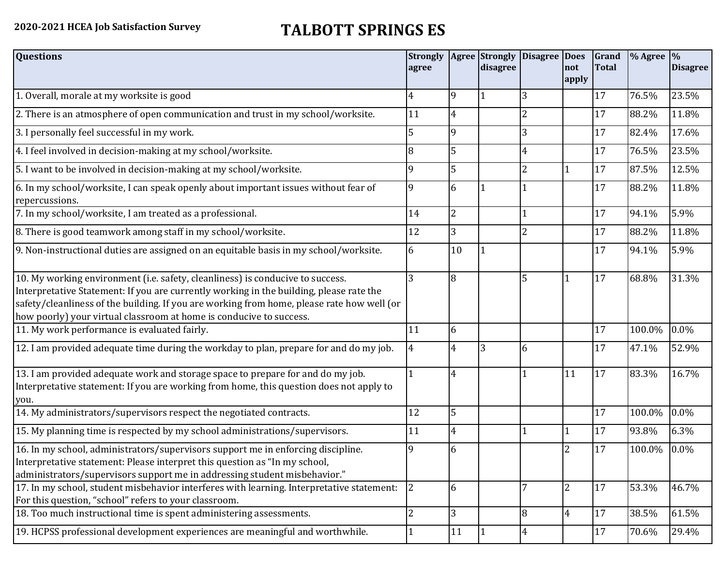## **2020-2021 HCEA Job Satisfaction Survey TALBOTT SPRINGS ES**

| <b>Questions</b>                                                                                                                                                                                                                                                                                                                               | <b>Strongly</b><br>agree |                | Agree Strongly<br>disagree | Disagree Does  | not<br>apply   | Grand<br>Total | $%$ Agree $\%$ | <b>Disagree</b> |
|------------------------------------------------------------------------------------------------------------------------------------------------------------------------------------------------------------------------------------------------------------------------------------------------------------------------------------------------|--------------------------|----------------|----------------------------|----------------|----------------|----------------|----------------|-----------------|
| 1. Overall, morale at my worksite is good                                                                                                                                                                                                                                                                                                      | 4                        | 9              |                            | 3              |                | 17             | 76.5%          | 23.5%           |
| 2. There is an atmosphere of open communication and trust in my school/worksite.                                                                                                                                                                                                                                                               | 11                       | $\overline{4}$ |                            | $\overline{2}$ |                | 17             | 88.2%          | 11.8%           |
| 3. I personally feel successful in my work.                                                                                                                                                                                                                                                                                                    | 5                        | $\mathbf{Q}$   |                            | 3              |                | 17             | 82.4%          | 17.6%           |
| 4. I feel involved in decision-making at my school/worksite.                                                                                                                                                                                                                                                                                   | 8                        | 5              |                            | 4              |                | 17             | 76.5%          | 23.5%           |
| 5. I want to be involved in decision-making at my school/worksite.                                                                                                                                                                                                                                                                             | $\mathbf{q}$             | 5              |                            | $\overline{2}$ |                | 17             | 87.5%          | 12.5%           |
| 6. In my school/worksite, I can speak openly about important issues without fear of<br>repercussions.                                                                                                                                                                                                                                          | 9                        | 6              |                            |                |                | 17             | 88.2%          | 11.8%           |
| 7. In my school/worksite, I am treated as a professional.                                                                                                                                                                                                                                                                                      | 14                       | $\overline{2}$ |                            |                |                | 17             | 94.1%          | 5.9%            |
| 8. There is good teamwork among staff in my school/worksite.                                                                                                                                                                                                                                                                                   | 12                       | $\overline{3}$ |                            | 2              |                | 17             | 88.2%          | 11.8%           |
| 9. Non-instructional duties are assigned on an equitable basis in my school/worksite.                                                                                                                                                                                                                                                          | 6                        | 10             |                            |                |                | 17             | 94.1%          | 5.9%            |
| 10. My working environment (i.e. safety, cleanliness) is conducive to success.<br>Interpretative Statement: If you are currently working in the building, please rate the<br>safety/cleanliness of the building. If you are working from home, please rate how well (or<br>how poorly) your virtual classroom at home is conducive to success. | 3                        | 8              |                            | 5              |                | 17             | 68.8%          | 31.3%           |
| 11. My work performance is evaluated fairly.                                                                                                                                                                                                                                                                                                   | 11                       | 6              |                            |                |                | 17             | 100.0%         | 0.0%            |
| 12. I am provided adequate time during the workday to plan, prepare for and do my job.                                                                                                                                                                                                                                                         | 4                        | 4              | 3                          | 6              |                | 17             | 47.1%          | 52.9%           |
| 13. I am provided adequate work and storage space to prepare for and do my job.<br>Interpretative statement: If you are working from home, this question does not apply to<br>you.                                                                                                                                                             |                          | 4              |                            |                | 11             | 17             | 83.3%          | 16.7%           |
| 14. My administrators/supervisors respect the negotiated contracts.                                                                                                                                                                                                                                                                            | 12                       | 5              |                            |                |                | 17             | 100.0%         | 0.0%            |
| 15. My planning time is respected by my school administrations/supervisors.                                                                                                                                                                                                                                                                    | 11                       | $\overline{4}$ |                            |                |                | 17             | 93.8%          | 6.3%            |
| 16. In my school, administrators/supervisors support me in enforcing discipline.<br>Interpretative statement: Please interpret this question as "In my school,<br>administrators/supervisors support me in addressing student misbehavior."                                                                                                    | 9                        | 6              |                            |                | $\overline{2}$ | 17             | 100.0%         | 0.0%            |
| 17. In my school, student misbehavior interferes with learning. Interpretative statement:<br>For this question, "school" refers to your classroom.                                                                                                                                                                                             | 2                        | 6              |                            | 7              | $\overline{2}$ | 17             | 53.3%          | 46.7%           |
| 18. Too much instructional time is spent administering assessments.                                                                                                                                                                                                                                                                            | $\overline{2}$           | 3              |                            | 8              | 4              | 17             | 38.5%          | 61.5%           |
| 19. HCPSS professional development experiences are meaningful and worthwhile.                                                                                                                                                                                                                                                                  | $\mathbf{1}$             | 11             |                            | $\overline{4}$ |                | 17             | 70.6%          | 29.4%           |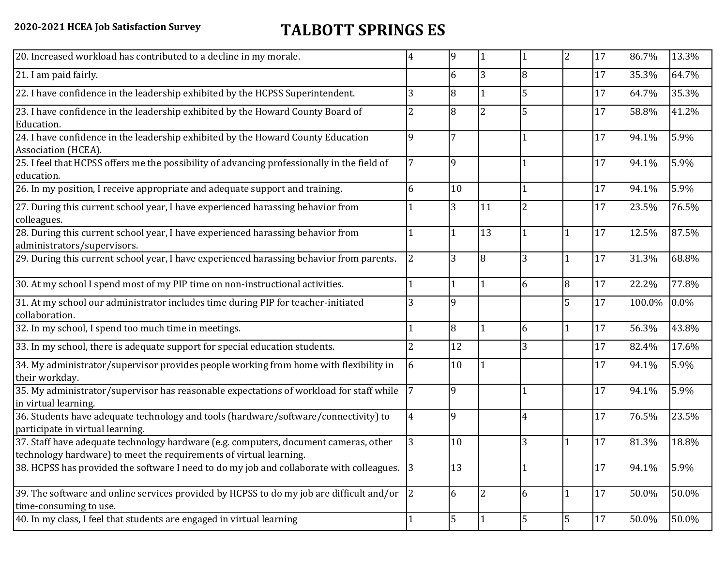## **2020-2021 HCEA Job Satisfaction Survey TALBOTT SPRINGS ES**

| 20. Increased workload has contributed to a decline in my morale.                                                                                          | 4              | 9              |                |   | $\overline{2}$ | 17 | 86.7%  | 13.3% |
|------------------------------------------------------------------------------------------------------------------------------------------------------------|----------------|----------------|----------------|---|----------------|----|--------|-------|
| 21. I am paid fairly.                                                                                                                                      |                | 6              | $\overline{3}$ | 8 |                | 17 | 35.3%  | 64.7% |
| 22. I have confidence in the leadership exhibited by the HCPSS Superintendent.                                                                             | 3              | 8              |                | 5 |                | 17 | 64.7%  | 35.3% |
| 23. I have confidence in the leadership exhibited by the Howard County Board of<br>Education.                                                              | 2              | 8              | $\overline{2}$ |   |                | 17 | 58.8%  | 41.2% |
| 24. I have confidence in the leadership exhibited by the Howard County Education<br>Association (HCEA).                                                    | 9              | 7              |                |   |                | 17 | 94.1%  | 5.9%  |
| 25. I feel that HCPSS offers me the possibility of advancing professionally in the field of<br>education.                                                  | 7              | 9              |                |   |                | 17 | 94.1%  | 5.9%  |
| 26. In my position, I receive appropriate and adequate support and training.                                                                               | 6              | 10             |                |   |                | 17 | 94.1%  | 5.9%  |
| 27. During this current school year, I have experienced harassing behavior from<br>colleagues.                                                             |                | $\overline{3}$ | 11             | 2 |                | 17 | 23.5%  | 76.5% |
| 28. During this current school year, I have experienced harassing behavior from<br>administrators/supervisors.                                             |                |                | 13             |   |                | 17 | 12.5%  | 87.5% |
| 29. During this current school year, I have experienced harassing behavior from parents.                                                                   | $\overline{2}$ | 3              | $\overline{8}$ | 3 |                | 17 | 31.3%  | 68.8% |
| 30. At my school I spend most of my PIP time on non-instructional activities.                                                                              |                |                | $\mathbf{1}$   | 6 | $\overline{8}$ | 17 | 22.2%  | 77.8% |
| 31. At my school our administrator includes time during PIP for teacher-initiated<br>collaboration.                                                        | 3              | 9              |                |   | 5              | 17 | 100.0% | 0.0%  |
| 32. In my school, I spend too much time in meetings.                                                                                                       |                | 8              | $\mathbf{1}$   | 6 | $\mathbf{1}$   | 17 | 56.3%  | 43.8% |
| 33. In my school, there is adequate support for special education students.                                                                                | $\overline{2}$ | 12             |                | 3 |                | 17 | 82.4%  | 17.6% |
| 34. My administrator/supervisor provides people working from home with flexibility in<br>their workday.                                                    | 6              | 10             |                |   |                | 17 | 94.1%  | 5.9%  |
| 35. My administrator/supervisor has reasonable expectations of workload for staff while<br>in virtual learning.                                            |                | 9              |                |   |                | 17 | 94.1%  | 5.9%  |
| 36. Students have adequate technology and tools (hardware/software/connectivity) to<br>participate in virtual learning.                                    | 4              | 9              |                | 4 |                | 17 | 76.5%  | 23.5% |
| 37. Staff have adequate technology hardware (e.g. computers, document cameras, other<br>technology hardware) to meet the requirements of virtual learning. | 3              | 10             |                | 3 |                | 17 | 81.3%  | 18.8% |
| 38. HCPSS has provided the software I need to do my job and collaborate with colleagues. $ 3 $                                                             |                | 13             |                |   |                | 17 | 94.1%  | 5.9%  |
| 39. The software and online services provided by HCPSS to do my job are difficult and/or $\vert$ 2<br>time-consuming to use.                               |                | 6              | $\overline{2}$ | 6 | $\mathbf{1}$   | 17 | 50.0%  | 50.0% |
| 40. In my class, I feel that students are engaged in virtual learning                                                                                      |                | 5              |                | 5 | 5              | 17 | 50.0%  | 50.0% |